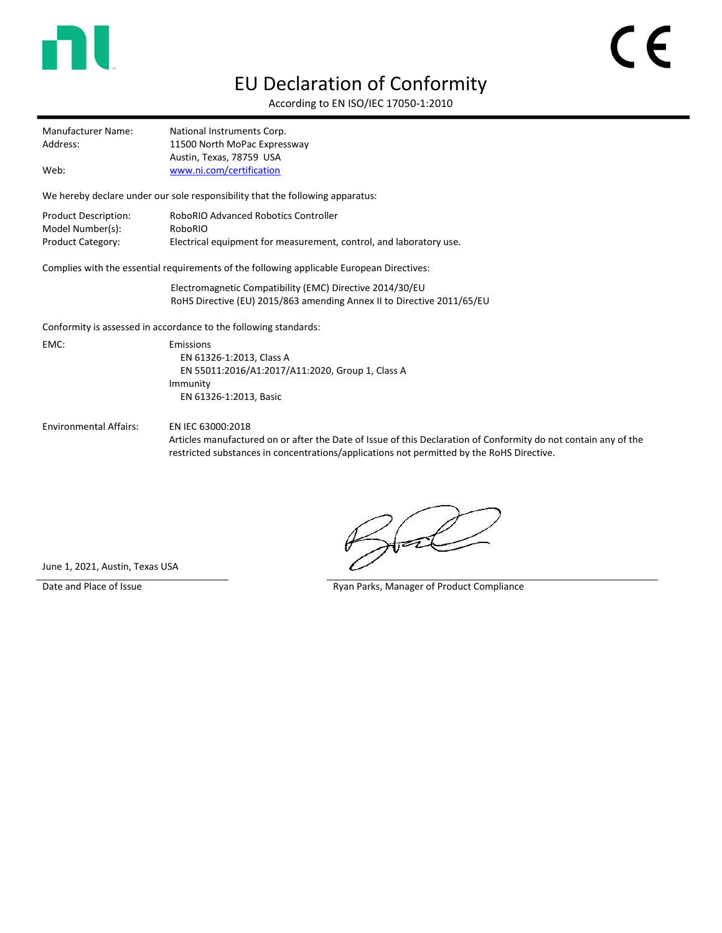

## EU Declaration of Conformity

According to EN ISO/IEC 17050-1:2010

| Manufacturer Name: | National Instruments Corp.   |  |
|--------------------|------------------------------|--|
| Address:           | 11500 North MoPac Expressway |  |
|                    | Austin, Texas, 78759 USA     |  |
| Web:               | www.ni.com/certification     |  |

We hereby declare under our sole responsibility that the following apparatus:

| Product Description: | RoboRIO Advanced Robotics Controller                               |
|----------------------|--------------------------------------------------------------------|
| Model Number(s):     | RoboRIO                                                            |
| Product Category:    | Electrical equipment for measurement, control, and laboratory use. |

Complies with the essential requirements of the following applicable European Directives:

Electromagnetic Compatibility (EMC) Directive 2014/30/EU RoHS Directive (EU) 2015/863 amending Annex II to Directive 2011/65/EU

Conformity is assessed in accordance to the following standards:

EMC: Emissions EN 61326-1:2013, Class A EN 55011:2016/A1:2017/A11:2020, Group 1, Class A Immunity EN 61326-1:2013, Basic

Environmental Affairs: EN IEC 63000:2018

Articles manufactured on or after the Date of Issue of this Declaration of Conformity do not contain any of the restricted substances in concentrations/applications not permitted by the RoHS Directive.

June 1, 2021, Austin, Texas USA

Date and Place of Issue **Ryan Parks, Manager of Product Compliance**